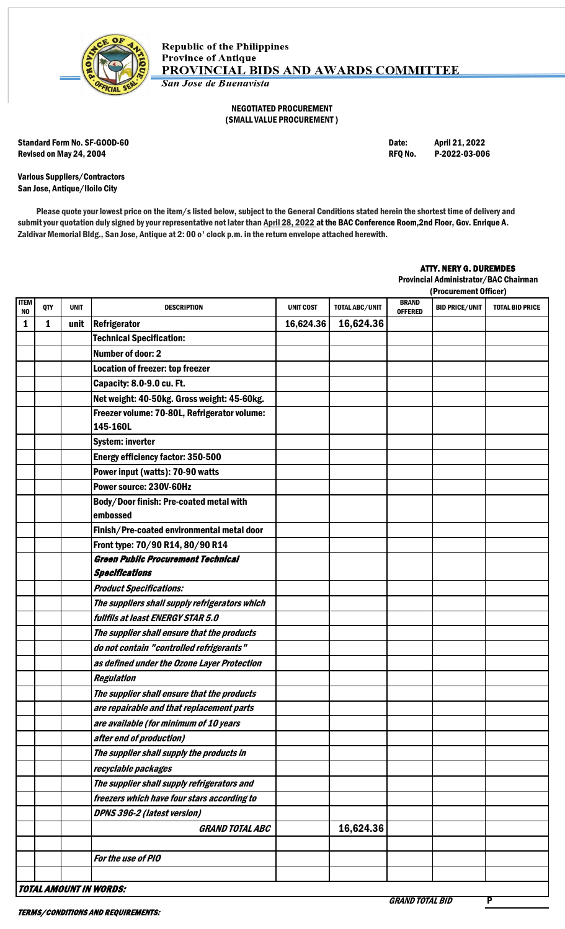

## NEGOTIATED PROCUREMENT (SMALL VALUE PROCUREMENT )

Standard Form No. SF-GOOD-60 Date: April 21, 2022 Revised on May 24, 2004 **REQ No. 2006** RFQ No. 2022-03-006

Various Suppliers/Contractors San Jose, Antique/Iloilo City

Please quote your lowest price on the item/s listed below, subject to the General Conditions stated herein the shortest time of delivery and submit your quotation duly signed by your representative not later than April 28, 2022 at the BAC Conference Room, 2nd Floor, Gov. Enrique A. Zaldivar Memorial Bldg., San Jose, Antique at 2: 00 o' clock p.m. in the return envelope attached herewith.

## ATTY. NERY G. DUREMDES

Provincial Administrator/BAC Chairman

|                   |     |             |                                                          |                  |                |                                | (Procurement Officer) |                        |  |
|-------------------|-----|-------------|----------------------------------------------------------|------------------|----------------|--------------------------------|-----------------------|------------------------|--|
| <b>ITEM</b><br>NO | QTY | <b>UNIT</b> | <b>DESCRIPTION</b>                                       | <b>UNIT COST</b> | TOTAL ABC/UNIT | <b>BRAND</b><br><b>OFFERED</b> | <b>BID PRICE/UNIT</b> | <b>TOTAL BID PRICE</b> |  |
| 1                 | 1   | unit        | <b>Refrigerator</b>                                      | 16,624.36        | 16,624.36      |                                |                       |                        |  |
|                   |     |             | <b>Technical Specification:</b>                          |                  |                |                                |                       |                        |  |
|                   |     |             | <b>Number of door: 2</b>                                 |                  |                |                                |                       |                        |  |
|                   |     |             | Location of freezer: top freezer                         |                  |                |                                |                       |                        |  |
|                   |     |             | Capacity: 8.0-9.0 cu. Ft.                                |                  |                |                                |                       |                        |  |
|                   |     |             | Net weight: 40-50kg. Gross weight: 45-60kg.              |                  |                |                                |                       |                        |  |
|                   |     |             | Freezer volume: 70-80L, Refrigerator volume:<br>145-160L |                  |                |                                |                       |                        |  |
|                   |     |             | <b>System: inverter</b>                                  |                  |                |                                |                       |                        |  |
|                   |     |             | <b>Energy efficiency factor: 350-500</b>                 |                  |                |                                |                       |                        |  |
|                   |     |             | Power input (watts): 70-90 watts                         |                  |                |                                |                       |                        |  |
|                   |     |             | Power source: 230V-60Hz                                  |                  |                |                                |                       |                        |  |
|                   |     |             | Body/Door finish: Pre-coated metal with<br>embossed      |                  |                |                                |                       |                        |  |
|                   |     |             | Finish/Pre-coated environmental metal door               |                  |                |                                |                       |                        |  |
|                   |     |             | Front type: 70/90 R14, 80/90 R14                         |                  |                |                                |                       |                        |  |
|                   |     |             | <b>Green Public Procurement Technical</b>                |                  |                |                                |                       |                        |  |
|                   |     |             | <b>Specifications</b>                                    |                  |                |                                |                       |                        |  |
|                   |     |             | <b>Product Specifications:</b>                           |                  |                |                                |                       |                        |  |
|                   |     |             | The suppliers shall supply refrigerators which           |                  |                |                                |                       |                        |  |
|                   |     |             | fullfils at least ENERGY STAR 5.0                        |                  |                |                                |                       |                        |  |
|                   |     |             | The supplier shall ensure that the products              |                  |                |                                |                       |                        |  |
|                   |     |             | do not contain "controlled refrigerants"                 |                  |                |                                |                       |                        |  |
|                   |     |             | as defined under the Ozone Layer Protection              |                  |                |                                |                       |                        |  |
|                   |     |             | <b>Regulation</b>                                        |                  |                |                                |                       |                        |  |
|                   |     |             | The supplier shall ensure that the products              |                  |                |                                |                       |                        |  |
|                   |     |             | are repairable and that replacement parts                |                  |                |                                |                       |                        |  |
|                   |     |             | are available (for minimum of 10 years                   |                  |                |                                |                       |                        |  |
|                   |     |             | after end of production)                                 |                  |                |                                |                       |                        |  |
|                   |     |             | The supplier shall supply the products in                |                  |                |                                |                       |                        |  |
|                   |     |             | recyclable packages                                      |                  |                |                                |                       |                        |  |
|                   |     |             | The supplier shall supply refrigerators and              |                  |                |                                |                       |                        |  |
|                   |     |             | freezers which have four stars according to              |                  |                |                                |                       |                        |  |
|                   |     |             | DPNS 396-2 (latest version)                              |                  |                |                                |                       |                        |  |
|                   |     |             | <b>GRAND TOTAL ABC</b>                                   |                  | 16,624.36      |                                |                       |                        |  |
|                   |     |             |                                                          |                  |                |                                |                       |                        |  |
|                   |     |             | For the use of PIO                                       |                  |                |                                |                       |                        |  |
|                   |     |             |                                                          |                  |                |                                |                       |                        |  |
|                   |     |             | TOTAL AMOUNT IN WORDS:                                   |                  |                |                                |                       |                        |  |